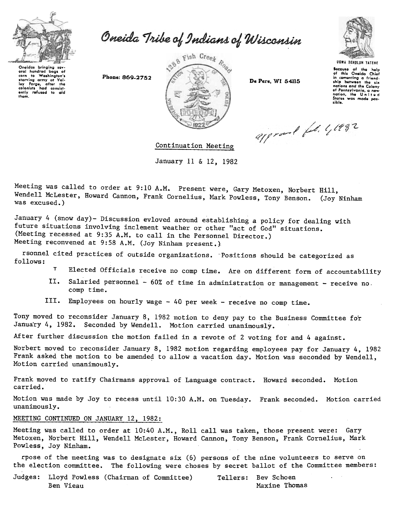

Oneida Tribe of Indians of Wisconsin

Onoidas bringing sov-<br>oral hundred bags of oral hundrod bags of<br>corn to Washington'<sup>1</sup><br>Itarving army at Val-<br>loy Forgo, after the<br>colonists had consist-<br>ently refused to aid<br>thom.





Because of the help<br>of this Oneida Chiot comonting a friend. ship between the six notion. ond tho Colony of Ponnsylvanlo. a new nation, the United<br>States was made pos-<br>sible.

approved feb. 41992

Continuation Meeting

January 11 & 12, 1982

Meeting was called to order at 9:10 A.M. Present were, Gary Metoxen, Norbert Hill, Wendell McLester, Howard Cannon, Frank Cornelius, Mark Powless, Tony Benson. (Joy Ninham was excused.)

January 4 (snow day)- Discussion evloved around establishing a policy for dealing with future situations involving inclement weather or other "act of God" situations. (Meeting recessed at 9:35 A.M. to call in the Personnel Director.) Meeting reconvened at 9:58 A.M. (Joy Ninham present.)

rsonnel cited practices of outside organizations. ~Positions should be categorized as follows:

- T Elected Officials receive no comp time. Are on different form of accountability
- Salaried personnel  $60\%$  of time in administration or management receive no.  $II.$ comp time.
- III. Employees on hourly wage  $-40$  per week - receive no comp time.

Tony moved to reconsider January 8, 1982 motion to deny pay to the Business Committee fo'r January 4, 1982. Seconded by Wendell. Motion carried unanimously.

After further discussion the motion failed in a revote of 2 voting for and 4 against.

Norbert moved to reconsider January 8, 1982 motion regarding employees pay for January 4, 1982 Frank asked the motion to be amended to allow a vacation day. Motion was seconded by Wendell, Motion carried unanimously.

Frank moved to ratify Chairmans approval of Language contract. Howard seconded. Motion carried.

Motion was made by Joy to recess until 10:30 A.M. on Tuesday. Frank seconded. Motion carried unanimously.

## MEETING CONTINUED ON JANUARY 12, 1982:

Meeting was called to order at 10:40 A.M., Roll call was taken, those present were: Gary Metoxen, Norbert Hill, Wendell McLester, Howard Cannon, Tony Benson, Frank Cornelius, Mark Powless, Joy Ninham.

rpose of the meeting was to designate six (6) persons of the nine volunteers to serve on the election committee. The following were choses by secret ballot of the Committee members:

Judges: Lloyd Powless (Chairman of Committee) Tellers: Bev Schoen Ben Vieau Maxine Thomas